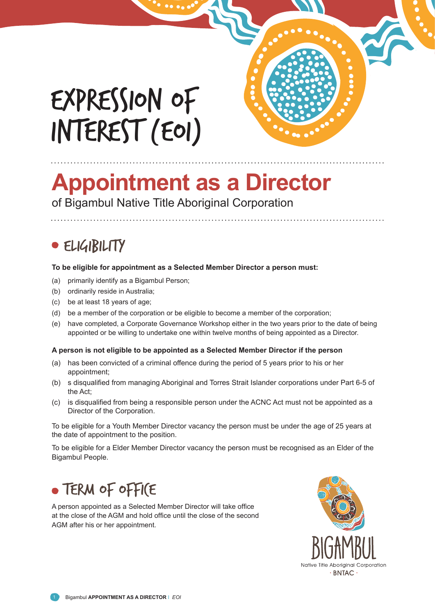# EXPRESSION OF INTEREST (EOI)



## **Appointment as a Director**

of Bigambul Native Title Aboriginal Corporation

## · ELIGIBILITY

#### **To be eligible for appointment as a Selected Member Director a person must:**

- (a) primarily identify as a Bigambul Person;
- (b) ordinarily reside in Australia;
- (c) be at least 18 years of age;
- (d) be a member of the corporation or be eligible to become a member of the corporation;
- (e) have completed, a Corporate Governance Workshop either in the two years prior to the date of being appointed or be willing to undertake one within twelve months of being appointed as a Director.

#### **A person is not eligible to be appointed as a Selected Member Director if the person**

- (a) has been convicted of a criminal offence during the period of 5 years prior to his or her appointment;
- (b) s disqualified from managing Aboriginal and Torres Strait Islander corporations under Part 6-5 of the Act;
- (c) is disqualified from being a responsible person under the ACNC Act must not be appointed as a Director of the Corporation.

To be eligible for a Youth Member Director vacancy the person must be under the age of 25 years at the date of appointment to the position.

To be eligible for a Elder Member Director vacancy the person must be recognised as an Elder of the Bigambul People.

## TERM OF OFFICE

A person appointed as a Selected Member Director will take office at the close of the AGM and hold office until the close of the second AGM after his or her appointment.